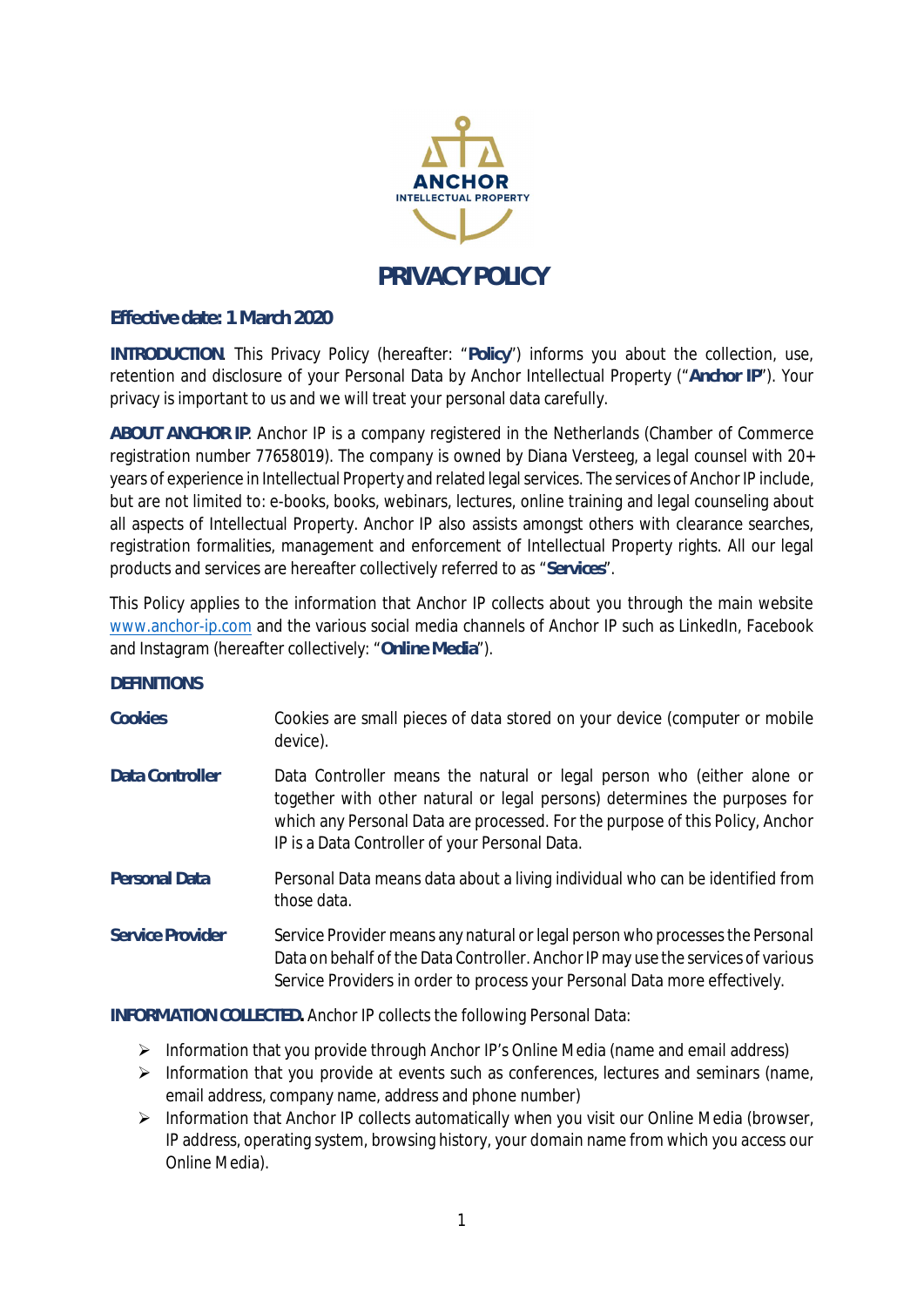

## **Effective date: 1 March 2020**

**INTRODUCTION**. This Privacy Policy (hereafter: "**Policy**") informs you about the collection, use, retention and disclosure of your Personal Data by Anchor Intellectual Property ("**Anchor IP**"). Your privacy is important to us and we will treat your personal data carefully.

**ABOUT ANCHOR IP**. Anchor IP is a company registered in the Netherlands (Chamber of Commerce registration number 77658019). The company is owned by Diana Versteeg, a legal counsel with 20+ years of experience in Intellectual Property and related legal services. The services of Anchor IP include, but are not limited to: e-books, books, webinars, lectures, online training and legal counseling about all aspects of Intellectual Property. Anchor IP also assists amongst others with clearance searches, registration formalities, management and enforcement of Intellectual Property rights. All our legal products and services are hereafter collectively referred to as "**Services**".

This Policy applies to the information that Anchor IP collects about you through the main website www.anchor-ip.com and the various social media channels of Anchor IP such as LinkedIn, Facebook and Instagram (hereafter collectively: "**Online Media**").

## **DEFINITIONS**

| Cookies              | Cookies are small pieces of data stored on your device (computer or mobile<br>device).                                                                                                                                                                                                 |
|----------------------|----------------------------------------------------------------------------------------------------------------------------------------------------------------------------------------------------------------------------------------------------------------------------------------|
| Data Controller      | Data Controller means the natural or legal person who (either alone or<br>together with other natural or legal persons) determines the purposes for<br>which any Personal Data are processed. For the purpose of this Policy, Anchor<br>IP is a Data Controller of your Personal Data. |
| <b>Personal Data</b> | Personal Data means data about a living individual who can be identified from<br>those data.                                                                                                                                                                                           |
| Service Provider     | Service Provider means any natural or legal person who processes the Personal<br>Data on behalf of the Data Controller. Anchor IP may use the services of various<br>Service Providers in order to process your Personal Data more effectively.                                        |

**INFORMATION COLLECTED.** Anchor IP collects the following Personal Data:

- $\triangleright$  Information that you provide through Anchor IP's Online Media (name and email address)
- $\triangleright$  Information that you provide at events such as conferences, lectures and seminars (name, email address, company name, address and phone number)
- $\triangleright$  Information that Anchor IP collects automatically when you visit our Online Media (browser, IP address, operating system, browsing history, your domain name from which you access our Online Media).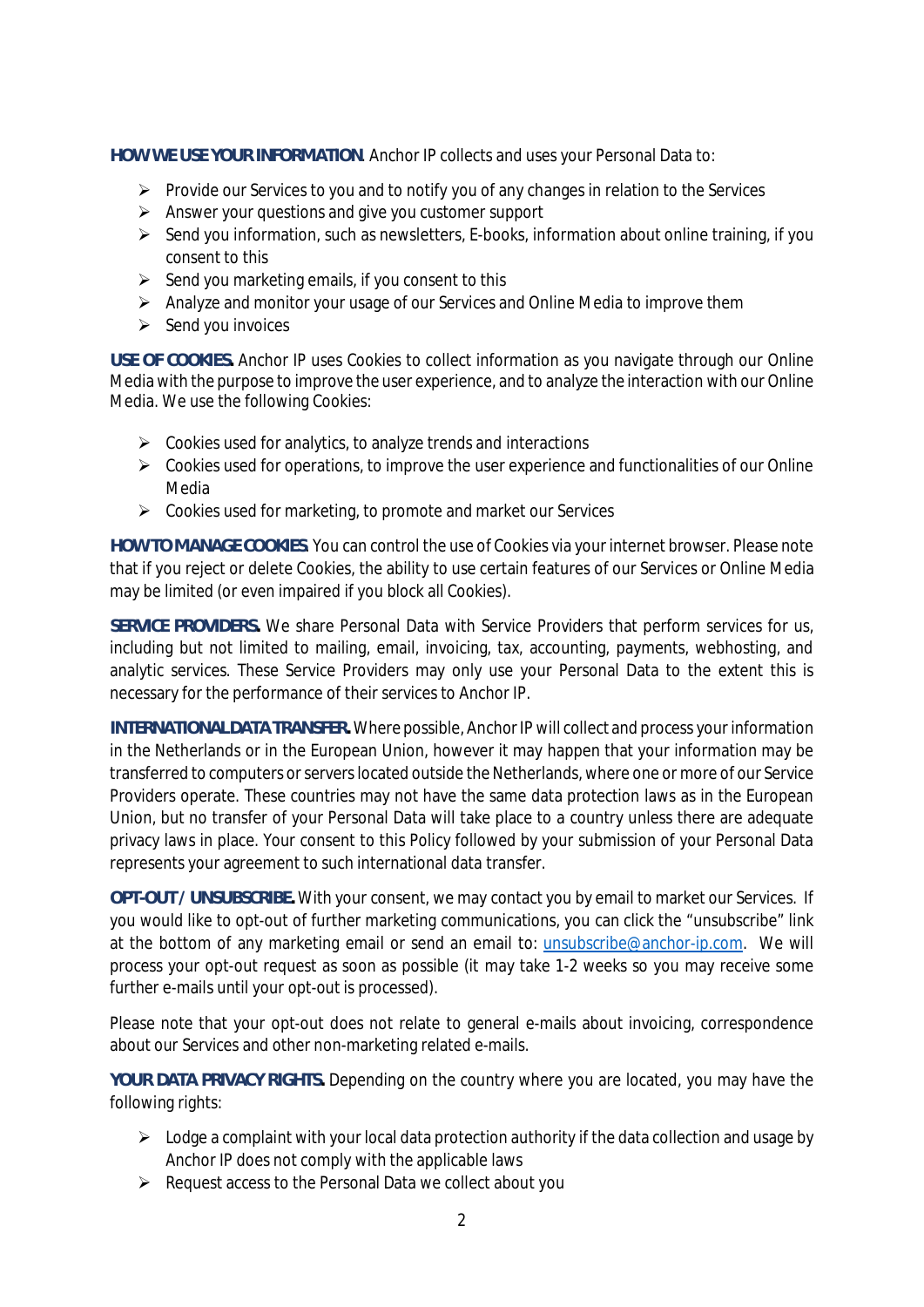**HOW WE USE YOUR INFORMATION**. Anchor IP collects and uses your Personal Data to:

- $\triangleright$  Provide our Services to you and to notify you of any changes in relation to the Services
- $\triangleright$  Answer your questions and give you customer support
- $\triangleright$  Send you information, such as newsletters, E-books, information about online training, if you consent to this
- $\triangleright$  Send you marketing emails, if you consent to this
- $\triangleright$  Analyze and monitor your usage of our Services and Online Media to improve them
- $\triangleright$  Send you invoices

**USE OF COOKIES.** Anchor IP uses Cookies to collect information as you navigate through our Online Media with the purpose to improve the user experience, and to analyze the interaction with our Online Media. We use the following Cookies:

- $\triangleright$  Cookies used for analytics, to analyze trends and interactions
- $\triangleright$  Cookies used for operations, to improve the user experience and functionalities of our Online Media
- $\triangleright$  Cookies used for marketing, to promote and market our Services

**HOW TO MANAGE COOKIES**. You can control the use of Cookies via your internet browser. Please note that if you reject or delete Cookies, the ability to use certain features of our Services or Online Media may be limited (or even impaired if you block all Cookies).

**SERVICE PROVIDERS.** We share Personal Data with Service Providers that perform services for us, including but not limited to mailing, email, invoicing, tax, accounting, payments, webhosting, and analytic services. These Service Providers may only use your Personal Data to the extent this is necessary for the performance of their services to Anchor IP.

**INTERNATIONAL DATA TRANSFER.** Where possible, Anchor IP will collect and process your information in the Netherlands or in the European Union, however it may happen that your information may be transferred to computers or servers located outside the Netherlands, where one or more of our Service Providers operate. These countries may not have the same data protection laws as in the European Union, but no transfer of your Personal Data will take place to a country unless there are adequate privacy laws in place. Your consent to this Policy followed by your submission of your Personal Data represents your agreement to such international data transfer.

**OPT-OUT / UNSUBSCRIBE.** With your consent, we may contact you by email to market our Services. If you would like to opt-out of further marketing communications, you can click the "unsubscribe" link at the bottom of any marketing email or send an email to: unsubscribe@anchor-ip.com. We will process your opt-out request as soon as possible (it may take 1-2 weeks so you may receive some further e-mails until your opt-out is processed).

Please note that your opt-out does not relate to general e-mails about invoicing, correspondence about our Services and other non-marketing related e-mails.

**YOUR DATA PRIVACY RIGHTS.** Depending on the country where you are located, you may have the following rights:

- $\triangleright$  Lodge a complaint with your local data protection authority if the data collection and usage by Anchor IP does not comply with the applicable laws
- $\triangleright$  Request access to the Personal Data we collect about you